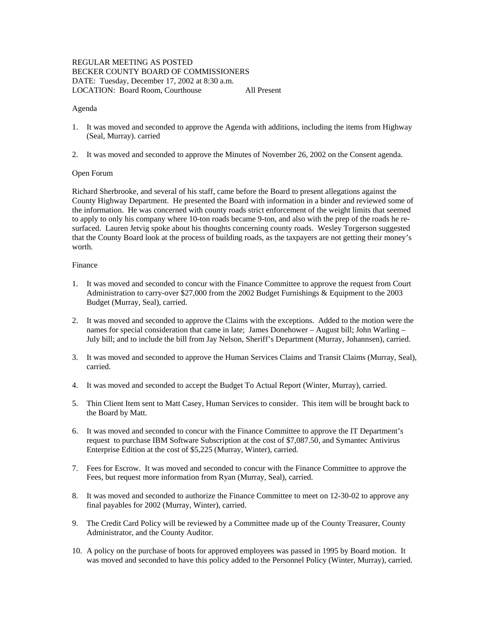# REGULAR MEETING AS POSTED BECKER COUNTY BOARD OF COMMISSIONERS DATE: Tuesday, December 17, 2002 at 8:30 a.m. LOCATION: Board Room, Courthouse All Present

### Agenda

- 1. It was moved and seconded to approve the Agenda with additions, including the items from Highway (Seal, Murray). carried
- 2. It was moved and seconded to approve the Minutes of November 26, 2002 on the Consent agenda.

### Open Forum

Richard Sherbrooke, and several of his staff, came before the Board to present allegations against the County Highway Department. He presented the Board with information in a binder and reviewed some of the information. He was concerned with county roads strict enforcement of the weight limits that seemed to apply to only his company where 10-ton roads became 9-ton, and also with the prep of the roads he resurfaced. Lauren Jetvig spoke about his thoughts concerning county roads. Wesley Torgerson suggested that the County Board look at the process of building roads, as the taxpayers are not getting their money's worth.

# Finance

- 1. It was moved and seconded to concur with the Finance Committee to approve the request from Court Administration to carry-over \$27,000 from the 2002 Budget Furnishings & Equipment to the 2003 Budget (Murray, Seal), carried.
- 2. It was moved and seconded to approve the Claims with the exceptions. Added to the motion were the names for special consideration that came in late; James Donehower – August bill; John Warling – July bill; and to include the bill from Jay Nelson, Sheriff's Department (Murray, Johannsen), carried.
- 3. It was moved and seconded to approve the Human Services Claims and Transit Claims (Murray, Seal), carried.
- 4. It was moved and seconded to accept the Budget To Actual Report (Winter, Murray), carried.
- 5. Thin Client Item sent to Matt Casey, Human Services to consider. This item will be brought back to the Board by Matt.
- 6. It was moved and seconded to concur with the Finance Committee to approve the IT Department's request to purchase IBM Software Subscription at the cost of \$7,087.50, and Symantec Antivirus Enterprise Edition at the cost of \$5,225 (Murray, Winter), carried.
- 7. Fees for Escrow. It was moved and seconded to concur with the Finance Committee to approve the Fees, but request more information from Ryan (Murray, Seal), carried.
- 8. It was moved and seconded to authorize the Finance Committee to meet on 12-30-02 to approve any final payables for 2002 (Murray, Winter), carried.
- 9. The Credit Card Policy will be reviewed by a Committee made up of the County Treasurer, County Administrator, and the County Auditor.
- 10. A policy on the purchase of boots for approved employees was passed in 1995 by Board motion. It was moved and seconded to have this policy added to the Personnel Policy (Winter, Murray), carried.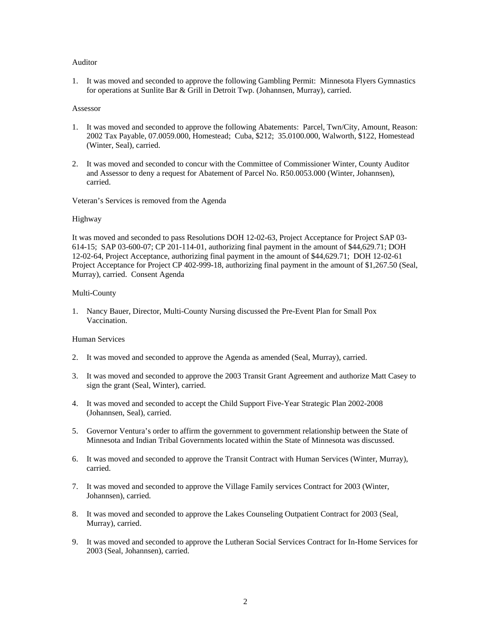### Auditor

1. It was moved and seconded to approve the following Gambling Permit: Minnesota Flyers Gymnastics for operations at Sunlite Bar & Grill in Detroit Twp. (Johannsen, Murray), carried.

#### Assessor

- 1. It was moved and seconded to approve the following Abatements: Parcel, Twn/City, Amount, Reason: 2002 Tax Payable, 07.0059.000, Homestead; Cuba, \$212; 35.0100.000, Walworth, \$122, Homestead (Winter, Seal), carried.
- 2. It was moved and seconded to concur with the Committee of Commissioner Winter, County Auditor and Assessor to deny a request for Abatement of Parcel No. R50.0053.000 (Winter, Johannsen), carried.

Veteran's Services is removed from the Agenda

#### Highway

It was moved and seconded to pass Resolutions DOH 12-02-63, Project Acceptance for Project SAP 03- 614-15; SAP 03-600-07; CP 201-114-01, authorizing final payment in the amount of \$44,629.71; DOH 12-02-64, Project Acceptance, authorizing final payment in the amount of \$44,629.71; DOH 12-02-61 Project Acceptance for Project CP 402-999-18, authorizing final payment in the amount of \$1,267.50 (Seal, Murray), carried. Consent Agenda

#### Multi-County

1. Nancy Bauer, Director, Multi-County Nursing discussed the Pre-Event Plan for Small Pox Vaccination.

## Human Services

- 2. It was moved and seconded to approve the Agenda as amended (Seal, Murray), carried.
- 3. It was moved and seconded to approve the 2003 Transit Grant Agreement and authorize Matt Casey to sign the grant (Seal, Winter), carried.
- 4. It was moved and seconded to accept the Child Support Five-Year Strategic Plan 2002-2008 (Johannsen, Seal), carried.
- 5. Governor Ventura's order to affirm the government to government relationship between the State of Minnesota and Indian Tribal Governments located within the State of Minnesota was discussed.
- 6. It was moved and seconded to approve the Transit Contract with Human Services (Winter, Murray), carried.
- 7. It was moved and seconded to approve the Village Family services Contract for 2003 (Winter, Johannsen), carried.
- 8. It was moved and seconded to approve the Lakes Counseling Outpatient Contract for 2003 (Seal, Murray), carried.
- 9. It was moved and seconded to approve the Lutheran Social Services Contract for In-Home Services for 2003 (Seal, Johannsen), carried.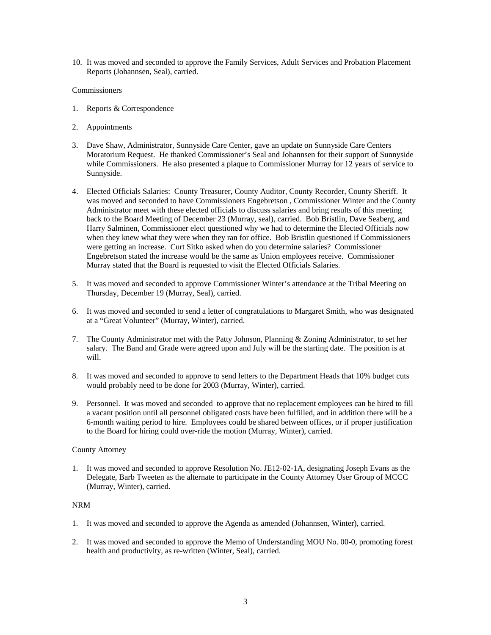10. It was moved and seconded to approve the Family Services, Adult Services and Probation Placement Reports (Johannsen, Seal), carried.

## Commissioners

- 1. Reports & Correspondence
- 2. Appointments
- 3. Dave Shaw, Administrator, Sunnyside Care Center, gave an update on Sunnyside Care Centers Moratorium Request. He thanked Commissioner's Seal and Johannsen for their support of Sunnyside while Commissioners. He also presented a plaque to Commissioner Murray for 12 years of service to Sunnyside.
- 4. Elected Officials Salaries: County Treasurer, County Auditor, County Recorder, County Sheriff. It was moved and seconded to have Commissioners Engebretson , Commissioner Winter and the County Administrator meet with these elected officials to discuss salaries and bring results of this meeting back to the Board Meeting of December 23 (Murray, seal), carried. Bob Bristlin, Dave Seaberg, and Harry Salminen, Commissioner elect questioned why we had to determine the Elected Officials now when they knew what they were when they ran for office. Bob Bristlin questioned if Commissioners were getting an increase. Curt Sitko asked when do you determine salaries? Commissioner Engebretson stated the increase would be the same as Union employees receive. Commissioner Murray stated that the Board is requested to visit the Elected Officials Salaries.
- 5. It was moved and seconded to approve Commissioner Winter's attendance at the Tribal Meeting on Thursday, December 19 (Murray, Seal), carried.
- 6. It was moved and seconded to send a letter of congratulations to Margaret Smith, who was designated at a "Great Volunteer" (Murray, Winter), carried.
- 7. The County Administrator met with the Patty Johnson, Planning & Zoning Administrator, to set her salary. The Band and Grade were agreed upon and July will be the starting date. The position is at will.
- 8. It was moved and seconded to approve to send letters to the Department Heads that 10% budget cuts would probably need to be done for 2003 (Murray, Winter), carried.
- 9. Personnel. It was moved and seconded to approve that no replacement employees can be hired to fill a vacant position until all personnel obligated costs have been fulfilled, and in addition there will be a 6-month waiting period to hire. Employees could be shared between offices, or if proper justification to the Board for hiring could over-ride the motion (Murray, Winter), carried.

## County Attorney

1. It was moved and seconded to approve Resolution No. JE12-02-1A, designating Joseph Evans as the Delegate, Barb Tweeten as the alternate to participate in the County Attorney User Group of MCCC (Murray, Winter), carried.

# NRM

- 1. It was moved and seconded to approve the Agenda as amended (Johannsen, Winter), carried.
- 2. It was moved and seconded to approve the Memo of Understanding MOU No. 00-0, promoting forest health and productivity, as re-written (Winter, Seal), carried.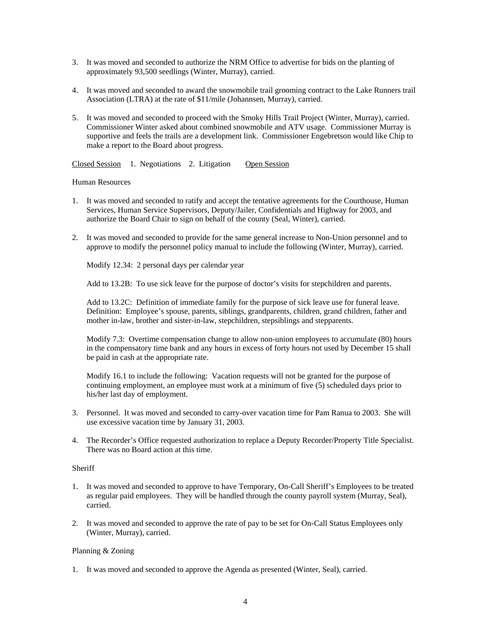- 3. It was moved and seconded to authorize the NRM Office to advertise for bids on the planting of approximately 93,500 seedlings (Winter, Murray), carried.
- 4. It was moved and seconded to award the snowmobile trail grooming contract to the Lake Runners trail Association (LTRA) at the rate of \$11/mile (Johannsen, Murray), carried.
- 5. It was moved and seconded to proceed with the Smoky Hills Trail Project (Winter, Murray), carried. Commissioner Winter asked about combined snowmobile and ATV usage. Commissioner Murray is supportive and feels the trails are a development link. Commissioner Engebretson would like Chip to make a report to the Board about progress.

Closed Session 1. Negotiations 2. Litigation Open Session

## Human Resources

- 1. It was moved and seconded to ratify and accept the tentative agreements for the Courthouse, Human Services, Human Service Supervisors, Deputy/Jailer, Confidentials and Highway for 2003, and authorize the Board Chair to sign on behalf of the county (Seal, Winter), carried.
- 2. It was moved and seconded to provide for the same general increase to Non-Union personnel and to approve to modify the personnel policy manual to include the following (Winter, Murray), carried.

Modify 12.34: 2 personal days per calendar year

Add to 13.2B: To use sick leave for the purpose of doctor's visits for stepchildren and parents.

Add to 13.2C: Definition of immediate family for the purpose of sick leave use for funeral leave. Definition: Employee's spouse, parents, siblings, grandparents, children, grand children, father and mother in-law, brother and sister-in-law, stepchildren, stepsiblings and stepparents.

Modify 7.3: Overtime compensation change to allow non-union employees to accumulate (80) hours in the compensatory time bank and any hours in excess of forty hours not used by December 15 shall be paid in cash at the appropriate rate.

Modify 16.1 to include the following: Vacation requests will not be granted for the purpose of continuing employment, an employee must work at a minimum of five (5) scheduled days prior to his/her last day of employment.

- 3. Personnel. It was moved and seconded to carry-over vacation time for Pam Ranua to 2003. She will use excessive vacation time by January 31, 2003.
- 4. The Recorder's Office requested authorization to replace a Deputy Recorder/Property Title Specialist. There was no Board action at this time.

## **Sheriff**

- 1. It was moved and seconded to approve to have Temporary, On-Call Sheriff's Employees to be treated as regular paid employees. They will be handled through the county payroll system (Murray, Seal), carried.
- 2. It was moved and seconded to approve the rate of pay to be set for On-Call Status Employees only (Winter, Murray), carried.

# Planning & Zoning

1. It was moved and seconded to approve the Agenda as presented (Winter, Seal), carried.